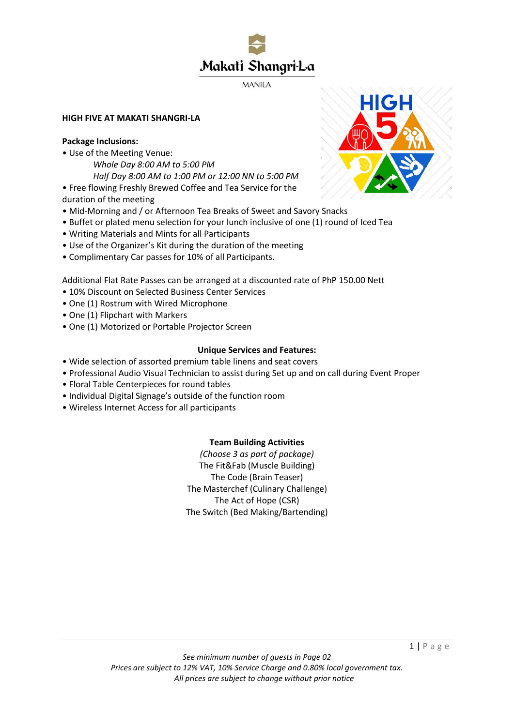# Makati Shangri-La

**MANILA** 

#### **HIGH FIVE AT MAKATI SHANGRI-LA**

#### **Package Inclusions:**

- Use of the Meeting Venue:
	- *Whole Day 8:00 AM to 5:00 PM Half Day 8:00 AM to 1:00 PM or 12:00 NN to 5:00 PM*
- Free flowing Freshly Brewed Coffee and Tea Service for the duration of the meeting
- Mid-Morning and / or Afternoon Tea Breaks of Sweet and Savory Snacks
- Buffet or plated menu selection for your lunch inclusive of one (1) round of Iced Tea
- Writing Materials and Mints for all Participants
- Use of the Organizer's Kit during the duration of the meeting
- Complimentary Car passes for 10% of all Participants.

Additional Flat Rate Passes can be arranged at a discounted rate of PhP 150.00 Nett

- 10% Discount on Selected Business Center Services
- One (1) Rostrum with Wired Microphone
- One (1) Flipchart with Markers
- One (1) Motorized or Portable Projector Screen

#### **Unique Services and Features:**

- Wide selection of assorted premium table linens and seat covers
- Professional Audio Visual Technician to assist during Set up and on call during Event Proper
- Floral Table Centerpieces for round tables
- Individual Digital Signage's outside of the function room
- Wireless Internet Access for all participants

#### **Team Building Activities**

*(Choose 3 as part of package)* The Fit&Fab (Muscle Building) The Code (Brain Teaser) The Masterchef (Culinary Challenge) The Act of Hope (CSR) The Switch (Bed Making/Bartending)



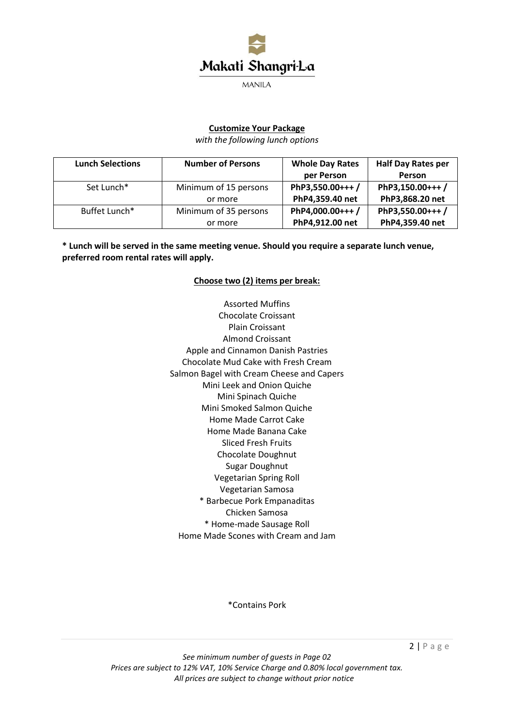

## **Customize Your Package**

*with the following lunch options*

| <b>Lunch Selections</b> | <b>Number of Persons</b> | <b>Whole Day Rates</b> | <b>Half Day Rates per</b> |
|-------------------------|--------------------------|------------------------|---------------------------|
|                         |                          | per Person             | Person                    |
| Set Lunch*              | Minimum of 15 persons    | PhP3,550.00+++/        | PhP3,150.00+++/           |
|                         | or more                  | PhP4,359.40 net        | PhP3,868.20 net           |
| Buffet Lunch*           | Minimum of 35 persons    | PhP4,000.00+++ /       | PhP3,550.00+++/           |
|                         | or more                  | PhP4,912.00 net        | PhP4,359.40 net           |

**\* Lunch will be served in the same meeting venue. Should you require a separate lunch venue, preferred room rental rates will apply.**

# **Choose two (2) items per break:**

Assorted Muffins Chocolate Croissant Plain Croissant Almond Croissant Apple and Cinnamon Danish Pastries Chocolate Mud Cake with Fresh Cream Salmon Bagel with Cream Cheese and Capers Mini Leek and Onion Quiche Mini Spinach Quiche Mini Smoked Salmon Quiche Home Made Carrot Cake Home Made Banana Cake Sliced Fresh Fruits Chocolate Doughnut Sugar Doughnut Vegetarian Spring Roll Vegetarian Samosa \* Barbecue Pork Empanaditas Chicken Samosa \* Home-made Sausage Roll Home Made Scones with Cream and Jam

\*Contains Pork

*See minimum number of guests in Page 02 Prices are subject to 12% VAT, 10% Service Charge and 0.80% local government tax. All prices are subject to change without prior notice*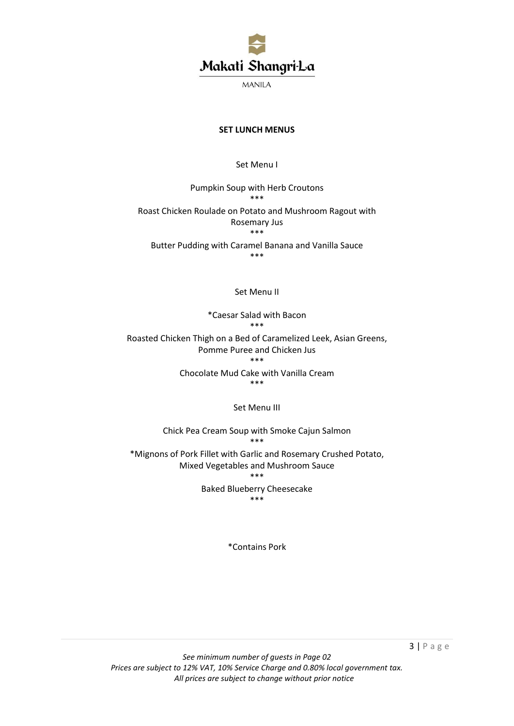

#### **SET LUNCH MENUS**

Set Menu I

Pumpkin Soup with Herb Croutons \*\*\* Roast Chicken Roulade on Potato and Mushroom Ragout with

> Rosemary Jus \*\*\*

Butter Pudding with Caramel Banana and Vanilla Sauce \*\*\*

Set Menu II

\*Caesar Salad with Bacon \*\*\*

Roasted Chicken Thigh on a Bed of Caramelized Leek, Asian Greens, Pomme Puree and Chicken Jus \*\*\*

> Chocolate Mud Cake with Vanilla Cream \*\*\*

> > Set Menu III

Chick Pea Cream Soup with Smoke Cajun Salmon \*\*\* \*Mignons of Pork Fillet with Garlic and Rosemary Crushed Potato,

Mixed Vegetables and Mushroom Sauce

\*\*\*

Baked Blueberry Cheesecake \*\*\*

\*Contains Pork

3 | P a g e

*See minimum number of guests in Page 02 Prices are subject to 12% VAT, 10% Service Charge and 0.80% local government tax. All prices are subject to change without prior notice*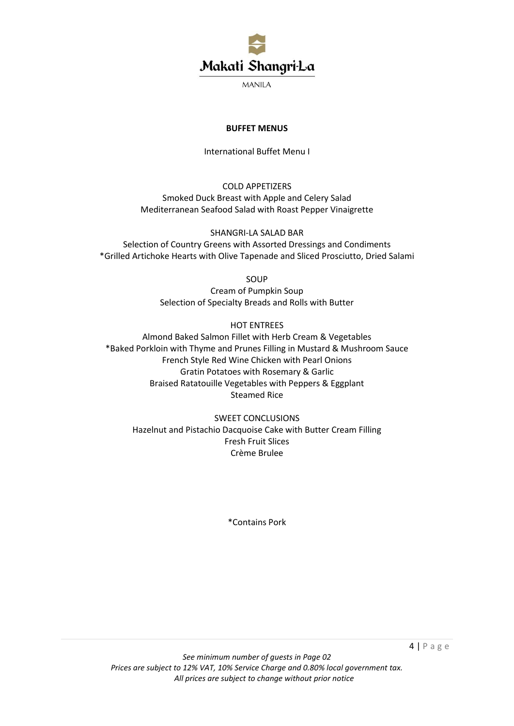

# **BUFFET MENUS**

International Buffet Menu I

COLD APPETIZERS Smoked Duck Breast with Apple and Celery Salad Mediterranean Seafood Salad with Roast Pepper Vinaigrette

SHANGRI-LA SALAD BAR Selection of Country Greens with Assorted Dressings and Condiments \*Grilled Artichoke Hearts with Olive Tapenade and Sliced Prosciutto, Dried Salami

SOUP

Cream of Pumpkin Soup Selection of Specialty Breads and Rolls with Butter

HOT ENTREES

Almond Baked Salmon Fillet with Herb Cream & Vegetables \*Baked Porkloin with Thyme and Prunes Filling in Mustard & Mushroom Sauce French Style Red Wine Chicken with Pearl Onions Gratin Potatoes with Rosemary & Garlic Braised Ratatouille Vegetables with Peppers & Eggplant Steamed Rice

SWEET CONCLUSIONS Hazelnut and Pistachio Dacquoise Cake with Butter Cream Filling Fresh Fruit Slices Crème Brulee

\*Contains Pork

*See minimum number of guests in Page 02 Prices are subject to 12% VAT, 10% Service Charge and 0.80% local government tax. All prices are subject to change without prior notice*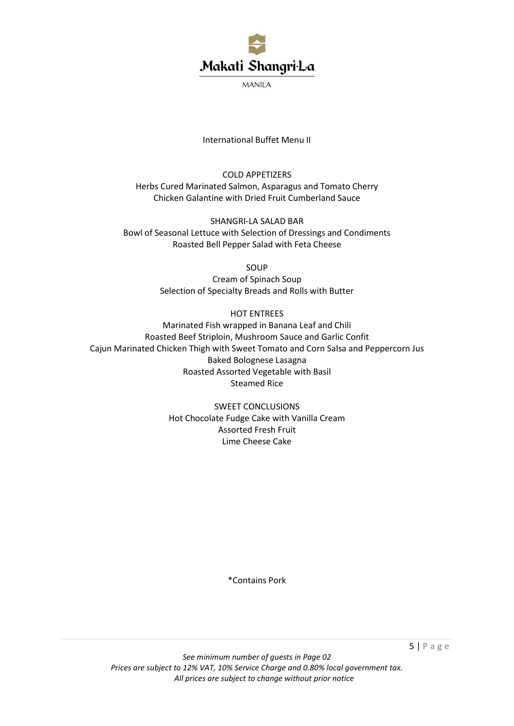

## International Buffet Menu II

COLD APPETIZERS Herbs Cured Marinated Salmon, Asparagus and Tomato Cherry Chicken Galantine with Dried Fruit Cumberland Sauce

SHANGRI-LA SALAD BAR Bowl of Seasonal Lettuce with Selection of Dressings and Condiments Roasted Bell Pepper Salad with Feta Cheese

SOUP

Cream of Spinach Soup Selection of Specialty Breads and Rolls with Butter

HOT ENTREES

Marinated Fish wrapped in Banana Leaf and Chili Roasted Beef Striploin, Mushroom Sauce and Garlic Confit Cajun Marinated Chicken Thigh with Sweet Tomato and Corn Salsa and Peppercorn Jus Baked Bolognese Lasagna Roasted Assorted Vegetable with Basil Steamed Rice

> SWEET CONCLUSIONS Hot Chocolate Fudge Cake with Vanilla Cream Assorted Fresh Fruit Lime Cheese Cake

> > \*Contains Pork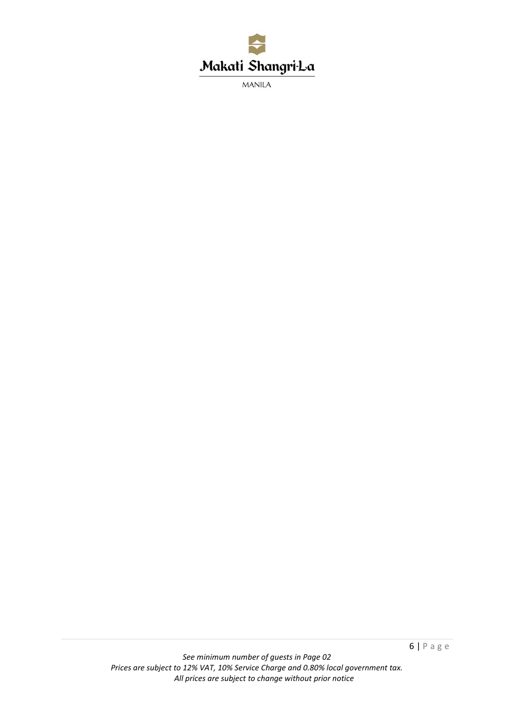